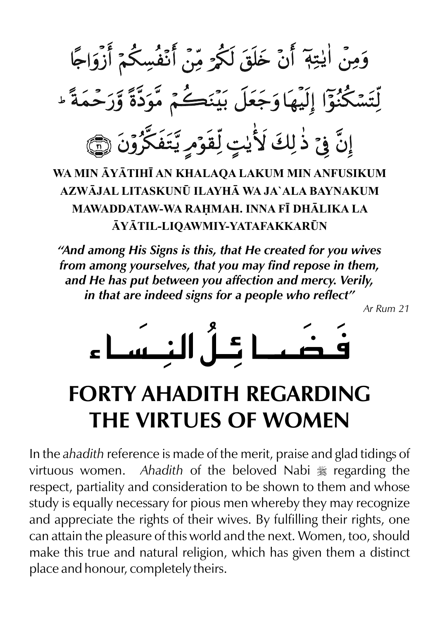وَمِنْ اٰ يٰتِهٖ ۚ أَنْ خَلَقَ لَكُمْرَ مِّنَ أَنْفُسِكُمْ أَزْوَاجًا لِّتَسْكُنُوّا إِلَيْهَا وَجَعَلَ بَيْنَكُمْ مَّوَدَّةً وَّرَحْمَةً \* إِنَّ فِيَ ذٰلِكَ لَأُيْتٍ لِّقَوْمِ يَّتَفَكَّرُونَ (٢٦

**WA MIN YTIH AN KHALAQA LAKUM MIN ANFUSIKUM AZWJAL LITASKUN¤ ILAYH WA JA`ALA BAYNAKUM MAWADDATAW-WA RAMAH. INNA F DHLIKA LA YTIL-LIQAWMIY-YATAFAKKAR¤N**

*"And among His Signs is this, that He created for you wives from among yourselves, that you may find repose in them, and He has put between you affection and mercy. Verily, in that are indeed signs for a people who reflect"* 

*Ar Rum 21*



# **FORTY AHADITH REGARDING THE VIRTUES OF WOMEN**

In the *ahadith* reference is made of the merit, praise and glad tidings of virtuous women. *Ahadith* of the beloved Nabi  $\frac{1}{26}$  regarding the respect, partiality and consideration to be shown to them and whose study is equally necessary for pious men whereby they may recognize and appreciate the rights of their wives. By fulfilling their rights, one can attain the pleasure of this world and the next. Women, too, should make this true and natural religion, which has given them a distinct place and honour, completely theirs.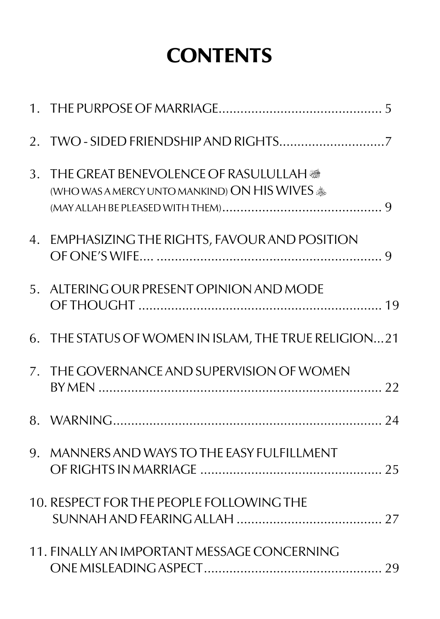# **CONTENTS**

| 3. THE GREAT BENEVOLENCE OF RASULULLAH @<br>(WHO WAS A MERCY UNTO MANKIND) ON HIS WIVES $*$ |  |
|---------------------------------------------------------------------------------------------|--|
| 4. EMPHASIZING THE RIGHTS, FAVOUR AND POSITION                                              |  |
| 5. ALTERING OUR PRESENT OPINION AND MODE                                                    |  |
| 6. THE STATUS OF WOMEN IN ISLAM, THE TRUE RELIGION21                                        |  |
| 7. THE GOVERNANCE AND SUPERVISION OF WOMEN                                                  |  |
|                                                                                             |  |
| 9. MANNERS AND WAYS TO THE EASY FULFILLMENT                                                 |  |
| 10. RESPECT FOR THE PEOPLE FOLLOWING THE                                                    |  |
| 11. FINALLY AN IMPORTANT MESSAGE CONCERNING                                                 |  |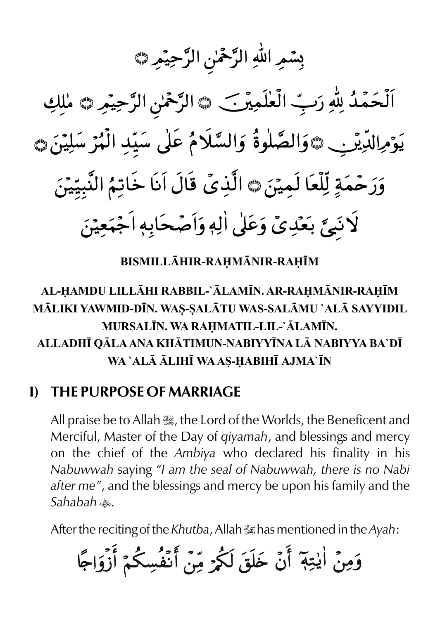بِسْمِ اللهِ الرَّحْمٰنِ الرَّحِيْمِ ١

اَلْحَمْدُ لِلّٰهِ رَبِّ الْعٰلَمِيرَ\_ ٢ الرَّحْمٰنِ الرَّحِيمِ ٣ مٰلِكِ يَوْمِالدِّيْنِي ١وَالصَّلٰوةُ وَالسَّلَامُ عَلٰى سَيِّدِ الْمُرْسَلِيْنَ ١ وَرَحْمَةٍ لِّلْعَا لَمِيْنَ۞ الَّذِيۡ قَالَ اَنَا خَاتِمُ النَّبِيِّينَ لَانَبِيَّ بَعَدِيٍّ وَعَلَى اٰلِهٖ وَاَصْحَابِهٖ اَجْمَعِيْنَ

**BISMILLHIR-RAMNIR-RAM**

## **AL-AMDU LILLHI RABBIL-`LAMN. AR-RAMNIR-RAM MLIKI YAWMID-DN. WA - ALTU WAS-SALMU `AL SAYYIDIL S S MURSALN. WA RAMATIL-LIL-`LAMN. ALLADH QLA ANA KHTIMUN-NABIYYNA L NABIYYA BA`D WA `AL LIH WA AS-ABIH AJMA`N**

#### **I) THE PURPOSE OF MARRIAGE**

All praise be to Allah  $\mathcal{H}$ , the Lord of the Worlds, the Beneficent and Merciful, Master of the Day of *qiyamah*, and blessings and mercy on the chief of the *Ambiya* who declared his finality in his *Nabuwwah* saying *"I am the seal of Nabuwwah, there is no Nabi after me"*, and the blessings and mercy be upon his family and the *Sahabah* t.

After the reciting of the *Khutba*, Allah <del>.</del> has mentioned in the *Ayah*:

وَمِنْ اٰيٰتِهٖٓ أَنْ خَلَقَ لَكُمْ مِّنْ أَنْفُسِكُمْ أَزْوَاجًا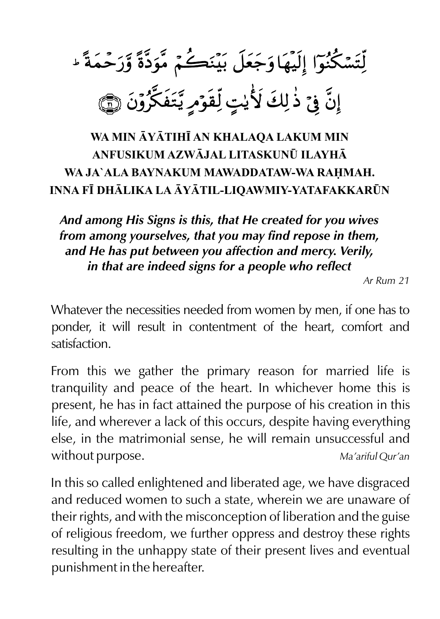لِّتَسْكُنُوٓا إِلَيْهَاوَجَعَلَ بَيْنَكُمْ مَّوَدَّةً وَّرَحْمَةً ۚ إِنَّ فِيَ ذٰلِكَ لَأَيْتٍ لِّقَوَمٍ يَّتَفَكَّرُونَ ۞

# **WA MIN YTIH AN KHALAQA LAKUM MIN ANFUSIKUM AZWJAL LITASKUN¤ ILAYH** WA JA`ALA BAYNAKUM MAWADDATAW-WA RAHMAH. **INNA F DHLIKA LA YTIL-LIQAWMIY-YATAFAKKAR¤N**

*And among His Signs is this, that He created for you wives from among yourselves, that you may find repose in them, and He has put between you affection and mercy. Verily, in that are indeed signs for a people who reflect* 

*Ar Rum 21*

Whatever the necessities needed from women by men, if one has to ponder, it will result in contentment of the heart, comfort and satisfaction.

From this we gather the primary reason for married life is tranquility and peace of the heart. In whichever home this is present, he has in fact attained the purpose of his creation in this life, and wherever a lack of this occurs, despite having everything else, in the matrimonial sense, he will remain unsuccessful and without purpose. *Ma'ariful Qur'an*

In this so called enlightened and liberated age, we have disgraced and reduced women to such a state, wherein we are unaware of their rights, and with the misconception of liberation and the guise of religious freedom, we further oppress and destroy these rights resulting in the unhappy state of their present lives and eventual punishment in the hereafter.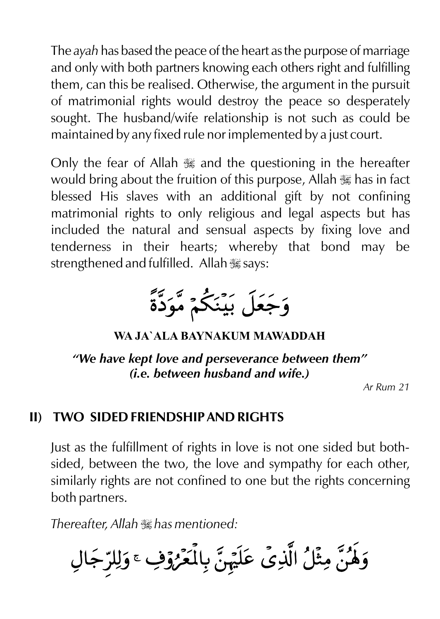The *ayah* has based the peace of the heart as the purpose of marriage and only with both partners knowing each others right and fulfilling them, can this be realised. Otherwise, the argument in the pursuit of matrimonial rights would destroy the peace so desperately sought. The husband/wife relationship is not such as could be maintained by any fixed rule nor implemented by a just court.

Only the fear of Allah  $\frac{1}{2}$  and the questioning in the hereafter would bring about the fruition of this purpose, Allah  $\frac{1}{16}$  has in fact blessed His slaves with an additional gift by not confining matrimonial rights to only religious and legal aspects but has included the natural and sensual aspects by fixing love and tenderness in their hearts; whereby that bond may be strengthened and fulfilled. Allah  $\frac{1}{26}$  says:

وَجَعَلَ بَيْنَكُمْ مَّوَدَّةً

```
WA JA`ALA BAYNAKUM MAWADDAH
```
*"We have kept love and perseverance between them" (i.e. between husband and wife.)* 

*Ar Rum 21*

#### **II) TWO SIDED FRIENDSHIP AND RIGHTS**

Just as the fulfillment of rights in love is not one sided but bothsided, between the two, the love and sympathy for each other, similarly rights are not confined to one but the rights concerning both partners.

*Thereafter, Allah*  $\mathbb{R}$  *has mentioned:* 

وَلَهُنَّ مِثْلُ الَّذِيِّ عَلَيْهِنَّ بِالْمَعْرُوْفِ ۚ وَلِلرِّجَالِ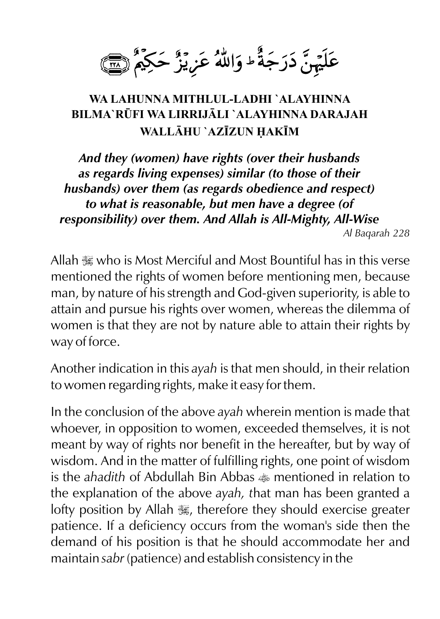عَلَيْهِنَّ دَرَجَةً ۖ وَاللَّهُ عَزِيْزٌ حَكِمٌ ۚ لِسَىٰ

#### **WA LAHUNNA MITHLUL-LADHI `ALAYHINNA BILMA`R¤FI WA LIRRIJLI `ALAYHINNA DARAJAH WALLHU `AZZUN AKM**

*And they (women) have rights (over their husbands as regards living expenses) similar (to those of their husbands) over them (as regards obedience and respect) to what is reasonable, but men have a degree (of responsibility) over them. And Allah is All-Mighty, All-Wise Al Baqarah 228*

Allah  $\mathbb R$  who is Most Merciful and Most Bountiful has in this verse mentioned the rights of women before mentioning men, because man, by nature of his strength and God-given superiority, is able to attain and pursue his rights over women, whereas the dilemma of women is that they are not by nature able to attain their rights by way of force.

Another indication in this *ayah* is that men should, in their relation to women regarding rights, make it easy for them.

In the conclusion of the above *ayah* wherein mention is made that whoever, in opposition to women, exceeded themselves, it is not meant by way of rights nor benefit in the hereafter, but by way of wisdom. And in the matter of fulfilling rights, one point of wisdom is the *ahadith* of Abdullah Bin Abbas  $\triangle$  mentioned in relation to the explanation of the above *ayah, t*hat man has been granted a lofty position by Allah  $\frac{1}{2}$ , therefore they should exercise greater patience. If a deficiency occurs from the woman's side then the demand of his position is that he should accommodate her and maintain *sabr* (patience) and establish consistency in the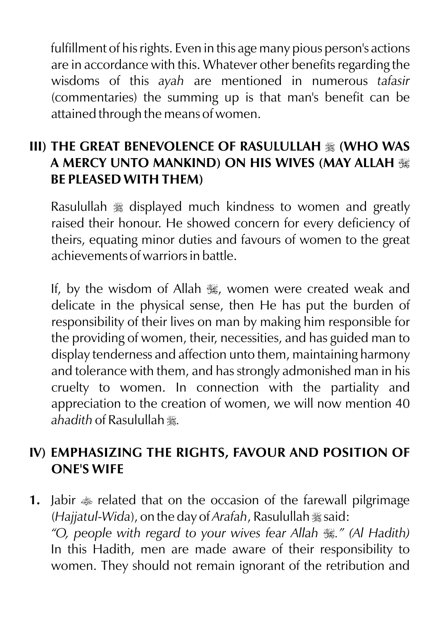fulfillment of his rights. Even in this age many pious person's actions are in accordance with this. Whatever other benefits regarding the wisdoms of this *ayah* are mentioned in numerous *tafasir* (commentaries) the summing up is that man's benefit can be attained through the means of women.

#### **III) THE GREAT BENEVOLENCE OF RASULULLAH**  $\frac{1}{26}$  **(WHO WAS A MERCY UNTO MANKIND) ON HIS WIVES (MAY ALLAH** I **BE PLEASED WITH THEM)**

Rasulullah  $*$  displayed much kindness to women and greatly raised their honour. He showed concern for every deficiency of theirs, equating minor duties and favours of women to the great achievements of warriors in battle.

If, by the wisdom of Allah . women were created weak and delicate in the physical sense, then He has put the burden of responsibility of their lives on man by making him responsible for the providing of women, their, necessities, and has guided man to display tenderness and affection unto them, maintaining harmony and tolerance with them, and has strongly admonished man in his cruelty to women. In connection with the partiality and appreciation to the creation of women, we will now mention 40 *ahadith* of Rasulullah r*.*

#### **IV) EMPHASIZING THE RIGHTS, FAVOUR AND POSITION OF ONE'S WIFE**

**1.** Jabir  $\triangleq$  related that on the occasion of the farewall pilgrimage (*Hajjatul-Wida*), on the day of *Arafah*, Rasulullah  $\frac{1}{28}$  said: *"O, people with regard to your wives fear Allah* I*." (Al Hadith)*  In this Hadith, men are made aware of their responsibility to women. They should not remain ignorant of the retribution and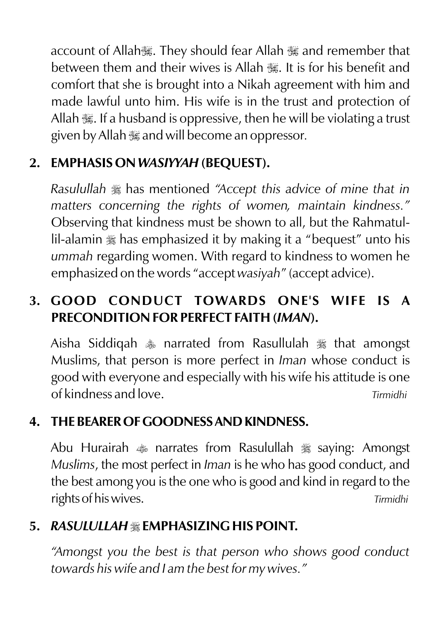account of Allah, They should fear Allah , and remember that between them and their wives is Allah  $\mathbb{R}$ . It is for his benefit and comfort that she is brought into a Nikah agreement with him and made lawful unto him. His wife is in the trust and protection of Allah  $\mathcal{H}$ . If a husband is oppressive, then he will be violating a trust given by Allah  $\frac{1}{2}$  and will become an oppressor.

# **2. EMPHASIS ON** *WASIYYAH* **(BEQUEST).**

*Rasulullah*  $*$  has mentioned "Accept this advice of mine that in *matters concerning the rights of women, maintain kindness."*  Observing that kindness must be shown to all, but the Rahmatullil-alamin  $\frac{1}{26}$  has emphasized it by making it a "bequest" unto his *ummah* regarding women. With regard to kindness to women he emphasized on the words "accept *wasiyah*" (accept advice).

# **3. GOOD CONDUCT TOWARDS ONE'S WIFE IS A PRECONDITION FOR PERFECT FAITH (***IMAN***).**

Aisha Siddiqah  $*$  narrated from Rasullulah  $*$  that amongst Muslims, that person is more perfect in *Iman* whose conduct is good with everyone and especially with his wife his attitude is one of kindness and love. *Tirmidhi*

# **4. THE BEARER OF GOODNESS AND KINDNESS.**

Abu Hurairah  $\triangleq$  narrates from Rasulullah  $\triangleq$  saying: Amongst *Muslims*, the most perfect in *Iman* is he who has good conduct, and the best among you is the one who is good and kind in regard to the rights of his wives. *Tirmidhi*

# 5. *RASULULLAH* \* EMPHASIZING HIS POINT.

*"Amongst you the best is that person who shows good conduct towards his wife and I am the best for my wives."*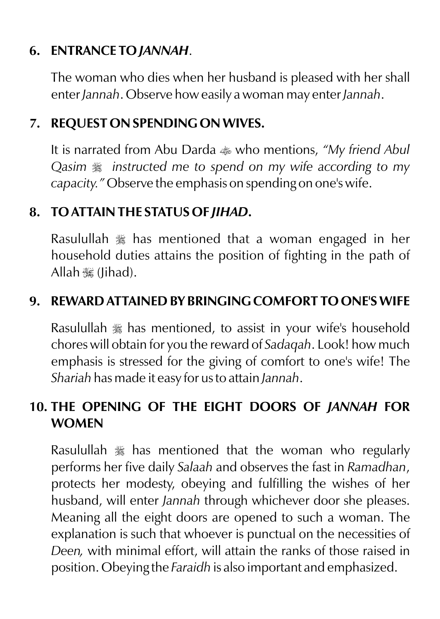#### **6. ENTRANCE TO** *JANNAH*.

The woman who dies when her husband is pleased with her shall enter *Jannah*. Observe how easily a woman may enter *Jannah*.

#### **7. REQUEST ON SPENDING ON WIVES.**

It is narrated from Abu Darda  $\triangleq$  who mentions, *"My friend Abul Qasim*  $\frac{1}{28}$  *instructed me to spend on my wife according to my capacity."* Observe the emphasis on spending on one's wife.

## **8. TO ATTAIN THE STATUS OF** *JIHAD***.**

Rasulullah  $\frac{1}{26}$  has mentioned that a woman engaged in her household duties attains the position of fighting in the path of Allah **K** (Jihad).

## **9. REWARD ATTAINED BY BRINGING COMFORT TO ONE'S WIFE**

Rasulullah  $\frac{1}{20}$  has mentioned, to assist in your wife's household chores will obtain for you the reward of *Sadaqah*. Look! how much emphasis is stressed for the giving of comfort to one's wife! The *Shariah* has made it easy for us to attain *Jannah*.

# **10. THE OPENING OF THE EIGHT DOORS OF** *JANNAH* **FOR WOMEN**

Rasulullah  $\frac{1}{20}$  has mentioned that the woman who regularly performs her five daily *Salaah* and observes the fast in *Ramadhan*, protects her modesty, obeying and fulfilling the wishes of her husband, will enter *Jannah* through whichever door she pleases. Meaning all the eight doors are opened to such a woman. The explanation is such that whoever is punctual on the necessities of *Deen,* with minimal effort, will attain the ranks of those raised in position. Obeying the *Faraidh* is also important and emphasized.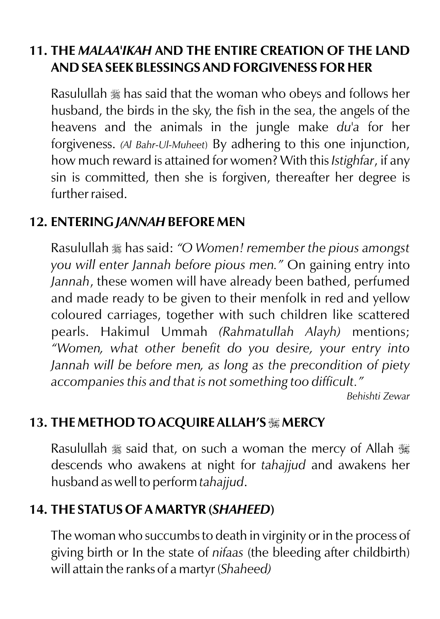#### **11. THE** *MALAA'IKAH* **AND THE ENTIRE CREATION OF THE LAND AND SEA SEEK BLESSINGS AND FORGIVENESS FOR HER**

Rasulullah  $\frac{1}{28}$  has said that the woman who obeys and follows her husband, the birds in the sky, the fish in the sea, the angels of the heavens and the animals in the jungle make *du'a* for her forgiveness. *(Al Bahr-Ul-Muheet*) By adhering to this one injunction, how much reward is attained for women? With this *Istighfar*, if any sin is committed, then she is forgiven, thereafter her degree is further raised.

#### **12. ENTERING** *JANNAH* **BEFORE MEN**

Rasulullah  $\frac{1}{28}$  has said: *"O Women! remember the pious amongst you will enter Jannah before pious men."* On gaining entry into *Jannah*, these women will have already been bathed, perfumed and made ready to be given to their menfolk in red and yellow coloured carriages, together with such children like scattered pearls. Hakimul Ummah *(Rahmatullah Alayh)* mentions; *"Women, what other benefit do you desire, your entry into Jannah will be before men, as long as the precondition of piety accompanies this and that is not something too difficult."*

 *Behishti Zewar*

# **13. THE METHOD TO ACQUIRE ALLAH'S** I **MERCY**

Rasulullah  $\frac{1}{28}$  said that, on such a woman the mercy of Allah  $\frac{1}{28}$ descends who awakens at night for *tahajjud* and awakens her husband as well to perform *tahajjud*.

#### **14. THE STATUS OF A MARTYR (***SHAHEED***)**

The woman who succumbs to death in virginity or in the process of giving birth or In the state of *nifaas* (the bleeding after childbirth) will attain the ranks of a martyr (*Shaheed)*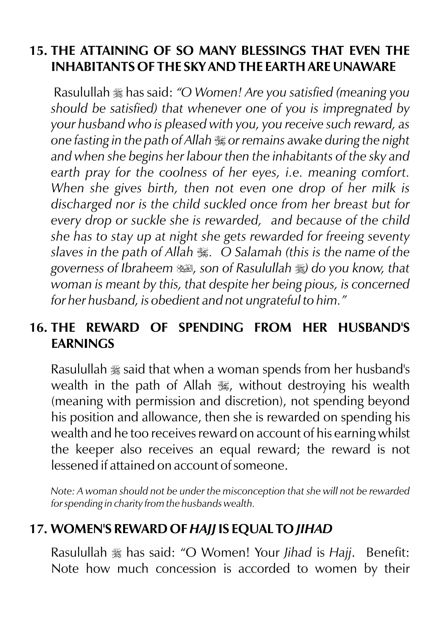#### **15. THE ATTAINING OF SO MANY BLESSINGS THAT EVEN THE INHABITANTS OF THE SKY AND THE EARTH ARE UNAWARE**

Rasulullah  $\frac{1}{26}$  has said: "O Women! Are you satisfied (meaning you *should be satisfied) that whenever one of you is impregnated by your husband who is pleased with you, you receive such reward, as one fasting in the path of Allah* I *or remains awake during the night and when she begins her labour then the inhabitants of the sky and earth pray for the coolness of her eyes, i.e. meaning comfort. When she gives birth, then not even one drop of her milk is discharged nor is the child suckled once from her breast but for every drop or suckle she is rewarded, and because of the child she has to stay up at night she gets rewarded for freeing seventy slaves in the path of Allah* I*. O Salamah (this is the name of the governess of Ibraheem* u*, son of Rasulullah* r*) do you know, that woman is meant by this, that despite her being pious, is concerned for her husband, is obedient and not ungrateful to him."*

## **16. THE REWARD OF SPENDING FROM HER HUSBAND'S EARNINGS**

Rasulullah  $\frac{1}{28}$  said that when a woman spends from her husband's wealth in the path of Allah  $\frac{1}{2}$ , without destroying his wealth (meaning with permission and discretion), not spending beyond his position and allowance, then she is rewarded on spending his wealth and he too receives reward on account of his earning whilst the keeper also receives an equal reward; the reward is not lessened if attained on account of someone.

*Note: A woman should not be under the misconception that she will not be rewarded for spending in charity from the husbands wealth.*

#### **17. WOMEN'S REWARD OF** *HAJJ* **IS EQUAL TO** *JIHAD*

Rasulullah  $\frac{1}{26}$  has said: "O Women! Your *Jihad* is *Hajj*. Benefit: Note how much concession is accorded to women by their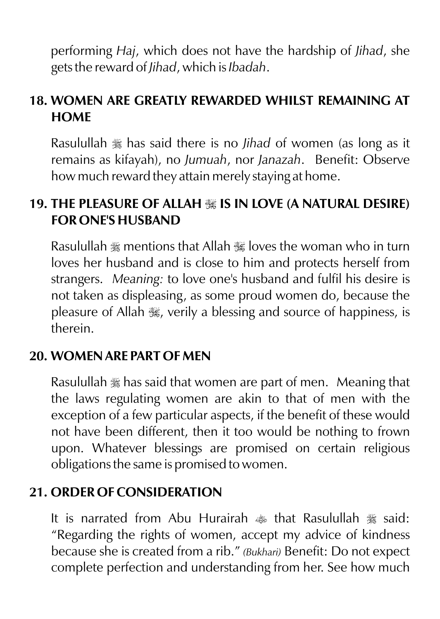performing *Haj*, which does not have the hardship of *Jihad*, she gets the reward of *Jihad*, which is *Ibadah*.

## **18. WOMEN ARE GREATLY REWARDED WHILST REMAINING AT HOME**

Rasulullah  $\frac{1}{28}$  has said there is no *Jihad* of women (as long as it remains as kifayah), no *Jumuah*, nor *Janazah*. Benefit: Observe how much reward they attain merely staying at home.

#### 19. THE PLEASURE OF ALLAH **<b>II** IS IN LOVE (A NATURAL DESIRE) **FOR ONE'S HUSBAND**

Rasulullah  $\ast$  mentions that Allah  $\ast$  loves the woman who in turn loves her husband and is close to him and protects herself from strangers. *Meaning:* to love one's husband and fulfil his desire is not taken as displeasing, as some proud women do, because the pleasure of Allah  $\frac{1}{2}$ , verily a blessing and source of happiness, is therein.

#### **20. WOMEN ARE PART OF MEN**

Rasulullah  $\frac{1}{26}$  has said that women are part of men. Meaning that the laws regulating women are akin to that of men with the exception of a few particular aspects, if the benefit of these would not have been different, then it too would be nothing to frown upon. Whatever blessings are promised on certain religious obligations the same is promised to women.

#### **21. ORDER OF CONSIDERATION**

It is narrated from Abu Hurairah  $\triangleq$  that Rasulullah  $\triangleq$  said: "Regarding the rights of women, accept my advice of kindness because she is created from a rib." *(Bukhari)* Benefit: Do not expect complete perfection and understanding from her. See how much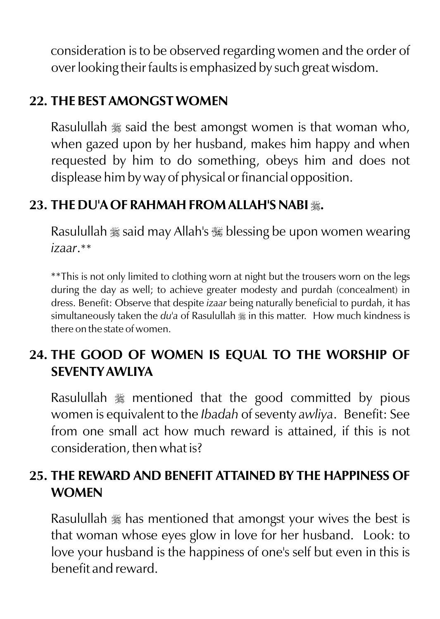consideration is to be observed regarding women and the order of over looking their faults is emphasized by such great wisdom.

### **22. THE BEST AMONGST WOMEN**

Rasulullah  $\frac{1}{28}$  said the best amongst women is that woman who, when gazed upon by her husband, makes him happy and when requested by him to do something, obeys him and does not displease him by way of physical or financial opposition.

#### **23. THE DU'A OF RAHMAH FROM ALLAH'S NABI** r**.**

Rasulullah  $\frac{1}{25}$  said may Allah's  $\frac{1}{25}$  blessing be upon women wearing *izaar*.\*\*

\*\*This is not only limited to clothing worn at night but the trousers worn on the legs during the day as well; to achieve greater modesty and purdah (concealment) in dress. Benefit: Observe that despite *izaar* being naturally beneficial to purdah, it has simultaneously taken the *du*'a of Rasulullah  $\frac{1}{26}$  in this matter. How much kindness is there on the state of women.

## **24. THE GOOD OF WOMEN IS EQUAL TO THE WORSHIP OF SEVENTY AWLIYA**

Rasulullah  $\frac{1}{20}$  mentioned that the good committed by pious women is equivalent to the *Ibadah* of seventy *awliya*. Benefit: See from one small act how much reward is attained, if this is not consideration, then what is?

# **25. THE REWARD AND BENEFIT ATTAINED BY THE HAPPINESS OF WOMEN**

Rasulullah  $\frac{1}{26}$  has mentioned that amongst your wives the best is that woman whose eyes glow in love for her husband. Look: to love your husband is the happiness of one's self but even in this is benefit and reward.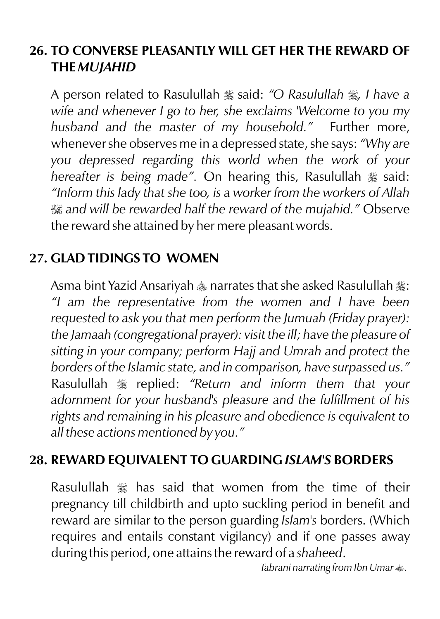#### **26. TO CONVERSE PLEASANTLY WILL GET HER THE REWARD OF THE** *MUJAHID*

A person related to Rasulullah \* said: "O Rasulullah \* *I have a wife and whenever I go to her, she exclaims 'Welcome to you my husband and the master of my household."* Further more, whenever she observes me in a depressed state, she says: *"Why are you depressed regarding this world when the work of your hereafter is being made"*. On hearing this, Rasulullah  $\frac{1}{26}$  said: *"Inform this lady that she too, is a worker from the workers of Allah*  I *and will be rewarded half the reward of the mujahid."* Observe the reward she attained by her mere pleasant words.

## **27. GLAD TIDINGS TO WOMEN**

Asma bint Yazid Ansariyah  $*$  narrates that she asked Rasulullah  $*$ : *"I am the representative from the women and I have been requested to ask you that men perform the Jumuah (Friday prayer): the Jamaah (congregational prayer): visit the ill; have the pleasure of sitting in your company; perform Hajj and Umrah and protect the borders of the Islamic state, and in comparison, have surpassed us."* Rasulullah  $*$  replied: "Return and inform them that your *adornment for your husband's pleasure and the fulfillment of his rights and remaining in his pleasure and obedience is equivalent to all these actions mentioned by you."*

#### **28. REWARD EQUIVALENT TO GUARDING** *ISLAM'S* **BORDERS**

Rasulullah  $\equiv$  has said that women from the time of their pregnancy till childbirth and upto suckling period in benefit and reward are similar to the person guarding *Islam's* borders. (Which requires and entails constant vigilancy) and if one passes away during this period, one attains the reward of a *shaheed*.

*Tabrani narrating from Ibn Umar*  $\text{#}$ *.*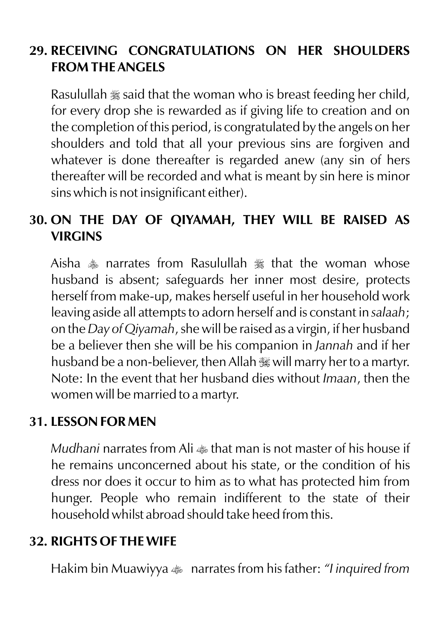#### **29. RECEIVING CONGRATULATIONS ON HER SHOULDERS FROM THE ANGELS**

Rasulullah  $\frac{1}{28}$  said that the woman who is breast feeding her child, for every drop she is rewarded as if giving life to creation and on the completion of this period, is congratulated by the angels on her shoulders and told that all your previous sins are forgiven and whatever is done thereafter is regarded anew (any sin of hers thereafter will be recorded and what is meant by sin here is minor sins which is not insignificant either).

## **30. ON THE DAY OF QIYAMAH, THEY WILL BE RAISED AS VIRGINS**

Aisha  $*$  narrates from Rasulullah  $*$  that the woman whose husband is absent; safeguards her inner most desire, protects herself from make-up, makes herself useful in her household work leaving aside all attempts to adorn herself and is constant in *salaah*; on the *Day of Qiyamah*, she will be raised as a virgin, if her husband be a believer then she will be his companion in *Jannah* and if her husband be a non-believer, then Allah  $\frac{1}{100}$  will marry her to a martyr. Note: In the event that her husband dies without *Imaan*, then the women will be married to a martyr.

#### **31. LESSON FOR MEN**

*Mudhani* narrates from Ali  $\triangleq$  that man is not master of his house if he remains unconcerned about his state, or the condition of his dress nor does it occur to him as to what has protected him from hunger. People who remain indifferent to the state of their household whilst abroad should take heed from this.

# **32. RIGHTS OF THE WIFE**

Hakim bin Muawiyya  $\bullet$  narrates from his father: *"I inquired from*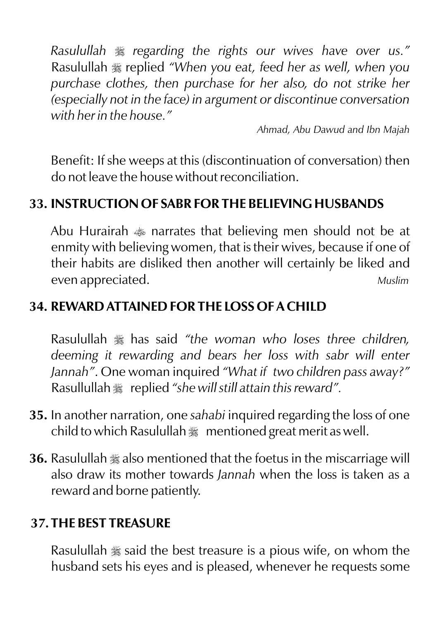*Rasulullah*  $*$  regarding the rights our wives have over us." Rasulullah  $\frac{1}{28}$  replied "When you eat, feed her as well, when you *purchase clothes, then purchase for her also, do not strike her (especially not in the face) in argument or discontinue conversation with her in the house."*

*Ahmad, Abu Dawud and Ibn Majah*

Benefit: If she weeps at this (discontinuation of conversation) then do not leave the house without reconciliation.

# **33. INSTRUCTION OF SABR FOR THE BELIEVING HUSBANDS**

Abu Hurairah  $\triangleq$  narrates that believing men should not be at enmity with believing women, that is their wives, because if one of their habits are disliked then another will certainly be liked and even appreciated. *Muslim*

## **34. REWARD ATTAINED FOR THE LOSS OF A CHILD**

Rasulullah  $*$  has said "the woman who loses three children, *deeming it rewarding and bears her loss with sabr will enter Jannah"*. One woman inquired *"What if two children pass away?"*  Rasullullah  $\frac{1}{2}$  replied "she will still attain this reward".

- **35.** In another narration, one *sahabi* inquired regarding the loss of one child to which Rasulullah  $m$  mentioned great merit as well.
- **36.** Rasulullah  $\frac{1}{2}$  also mentioned that the foetus in the miscarriage will also draw its mother towards *Jannah* when the loss is taken as a reward and borne patiently.

#### **37.THE BEST TREASURE**

Rasulullah  $\frac{1}{28}$  said the best treasure is a pious wife, on whom the husband sets his eyes and is pleased, whenever he requests some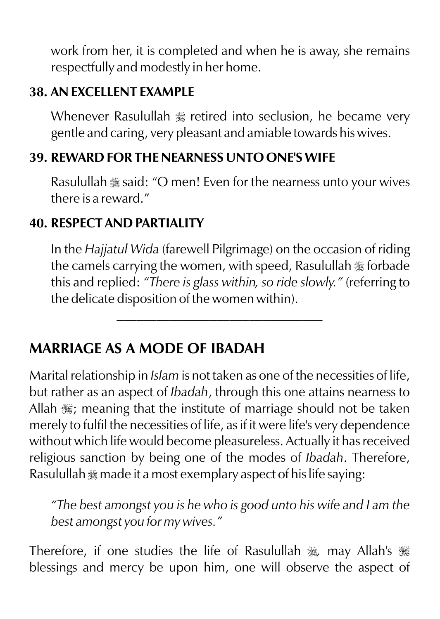work from her, it is completed and when he is away, she remains respectfully and modestly in her home.

#### **38. AN EXCELLENT EXAMPLE**

Whenever Rasulullah  $\frac{1}{20}$  retired into seclusion, he became very gentle and caring, very pleasant and amiable towards his wives.

## **39. REWARD FOR THE NEARNESS UNTO ONE'S WIFE**

Rasulullah  $\frac{1}{28}$  said: "O men! Even for the nearness unto your wives there is a reward."

#### **40. RESPECT AND PARTIALITY**

In the *Hajjatul Wida* (farewell Pilgrimage) on the occasion of riding the camels carrying the women, with speed, Rasulullah \* forbade this and replied: *"There is glass within, so ride slowly."* (referring to the delicate disposition of the women within).

 $\mathcal{L}=\mathcal{L}=\mathcal{L}=\mathcal{L}=\mathcal{L}=\mathcal{L}=\mathcal{L}=\mathcal{L}=\mathcal{L}=\mathcal{L}=\mathcal{L}=\mathcal{L}=\mathcal{L}=\mathcal{L}=\mathcal{L}=\mathcal{L}=\mathcal{L}=\mathcal{L}=\mathcal{L}=\mathcal{L}=\mathcal{L}=\mathcal{L}=\mathcal{L}=\mathcal{L}=\mathcal{L}=\mathcal{L}=\mathcal{L}=\mathcal{L}=\mathcal{L}=\mathcal{L}=\mathcal{L}=\mathcal{L}=\mathcal{L}=\mathcal{L}=\mathcal{L}=\mathcal{L}=\mathcal{$ 

# **MARRIAGE AS A MODE OF IBADAH**

Marital relationship in *Islam* is not taken as one of the necessities of life, but rather as an aspect of *Ibadah*, through this one attains nearness to Allah  $\frac{1}{200}$ ; meaning that the institute of marriage should not be taken merely to fulfil the necessities of life, as if it were life's very dependence without which life would become pleasureless. Actually it has received religious sanction by being one of the modes of *Ibadah*. Therefore, Rasulullah  $\frac{m}{2}$  made it a most exemplary aspect of his life saying:

*"The best amongst you is he who is good unto his wife and I am the best amongst you for my wives."*

Therefore, if one studies the life of Rasulullah \*, may Allah's \* blessings and mercy be upon him, one will observe the aspect of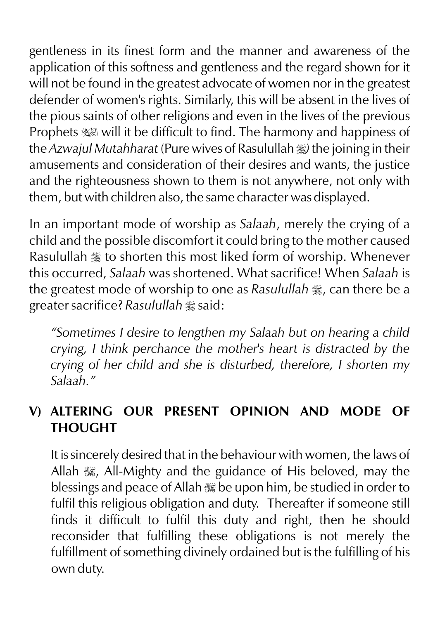gentleness in its finest form and the manner and awareness of the application of this softness and gentleness and the regard shown for it will not be found in the greatest advocate of women nor in the greatest defender of women's rights. Similarly, this will be absent in the lives of the pious saints of other religions and even in the lives of the previous Prophets  $\equiv$  will it be difficult to find. The harmony and happiness of the *Azwajul Mutahharat* (Pure wives of Rasulullah  $\frac{1}{2}$ ) the joining in their amusements and consideration of their desires and wants, the justice and the righteousness shown to them is not anywhere, not only with them, but with children also, the same character was displayed.

In an important mode of worship as *Salaah*, merely the crying of a child and the possible discomfort it could bring to the mother caused Rasulullah  $\frac{1}{20}$  to shorten this most liked form of worship. Whenever this occurred, *Salaah* was shortened. What sacrifice! When *Salaah* is the greatest mode of worship to one as *Rasulullah*  $\frac{1}{26}$ , can there be a *greater sacrifice? Rasulullah* \* said:

*"Sometimes I desire to lengthen my Salaah but on hearing a child crying, I think perchance the mother's heart is distracted by the crying of her child and she is disturbed, therefore, I shorten my Salaah."*

## **V) ALTERING OUR PRESENT OPINION AND MODE OF THOUGHT**

It is sincerely desired that in the behaviour with women, the laws of Allah , All-Mighty and the guidance of His beloved, may the blessings and peace of Allah  $\frac{1}{100}$  be upon him, be studied in order to fulfil this religious obligation and duty. Thereafter if someone still finds it difficult to fulfil this duty and right, then he should reconsider that fulfilling these obligations is not merely the fulfillment of something divinely ordained but is the fulfilling of his own duty.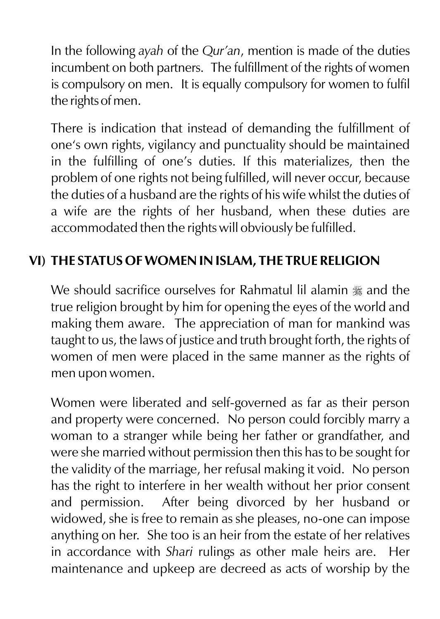In the following *ayah* of the *Qur'an*, mention is made of the duties incumbent on both partners. The fulfillment of the rights of women is compulsory on men. It is equally compulsory for women to fulfil the rights of men.

There is indication that instead of demanding the fulfillment of one's own rights, vigilancy and punctuality should be maintained in the fulfilling of one's duties. If this materializes, then the problem of one rights not being fulfilled, will never occur, because the duties of a husband are the rights of his wife whilst the duties of a wife are the rights of her husband, when these duties are accommodated then the rights will obviously be fulfilled.

#### **VI) THE STATUS OF WOMEN IN ISLAM, THE TRUE RELIGION**

We should sacrifice ourselves for Rahmatul lil alamin  $\frac{1}{26}$  and the true religion brought by him for opening the eyes of the world and making them aware. The appreciation of man for mankind was taught to us, the laws of justice and truth brought forth, the rights of women of men were placed in the same manner as the rights of men upon women.

Women were liberated and self-governed as far as their person and property were concerned. No person could forcibly marry a woman to a stranger while being her father or grandfather, and were she married without permission then this has to be sought for the validity of the marriage, her refusal making it void. No person has the right to interfere in her wealth without her prior consent and permission. After being divorced by her husband or widowed, she is free to remain as she pleases, no-one can impose anything on her. She too is an heir from the estate of her relatives in accordance with *Shari* rulings as other male heirs are. Her maintenance and upkeep are decreed as acts of worship by the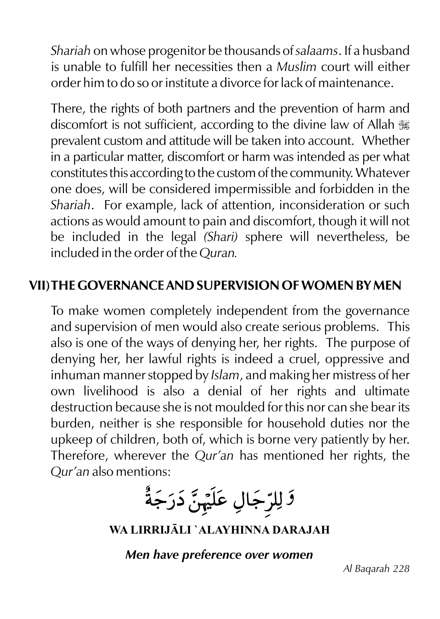*Shariah* on whose progenitor be thousands of *salaams*. If a husband is unable to fulfill her necessities then a *Muslim* court will either order him to do so or institute a divorce for lack of maintenance.

There, the rights of both partners and the prevention of harm and discomfort is not sufficient, according to the divine law of Allah  $\frac{120}{100}$ prevalent custom and attitude will be taken into account. Whether in a particular matter, discomfort or harm was intended as per what constitutes this according to the custom of the community. Whatever one does, will be considered impermissible and forbidden in the *Shariah*. For example, lack of attention, inconsideration or such actions as would amount to pain and discomfort, though it will not be included in the legal *(Shari)* sphere will nevertheless, be included in the order of the *Quran.*

## **VII)THE GOVERNANCE AND SUPERVISION OF WOMEN BY MEN**

To make women completely independent from the governance and supervision of men would also create serious problems. This also is one of the ways of denying her, her rights. The purpose of denying her, her lawful rights is indeed a cruel, oppressive and inhuman manner stopped by *Islam*, and making her mistress of her own livelihood is also a denial of her rights and ultimate destruction because she is not moulded for this nor can she bear its burden, neither is she responsible for household duties nor the upkeep of children, both of, which is borne very patiently by her. Therefore, wherever the *Qur'an* has mentioned her rights, the *Qur'an* also mentions:

*ۮٙ*ڶۣڵڔۜٙڿۜۘٳڸ؏ڶؘؽٙؠؖڽٞؖۮؘڔؘڿۘةٞ۠

**WA LIRRIJLI `ALAYHINNA DARAJAH**

*Men have preference over women*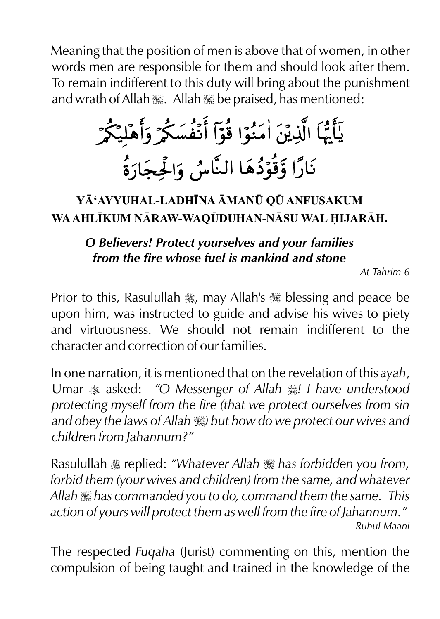Meaning that the position of men is above that of women, in other words men are responsible for them and should look after them. To remain indifferent to this duty will bring about the punishment and wrath of Allah , Allah , be praised, has mentioned:

# يَأَيُّهَا الَّذِيْنَ اٰمَنُوٓا قُوٓا أَنَفُسَكُمْ وَأَهْلِيَكُمْ نَارًا وَقُوۡدُهَا النَّاسُ وَالۡجِجَارَةُ

# **Y'AYYUHAL-LADHNA MAN¤ Q¤ ANFUSAKUM WA AHLKUM NRAW-WAQ¤DUHAN-NSU WAL IJARH.**

#### *O Believers! Protect yourselves and your families from the fire whose fuel is mankind and stone*

*At Tahrim 6*

Prior to this, Rasulullah  $\frac{1}{26}$ , may Allah's  $\frac{1}{26}$  blessing and peace be upon him, was instructed to guide and advise his wives to piety and virtuousness. We should not remain indifferent to the character and correction of our families.

In one narration, it is mentioned that on the revelation of this *ayah*, Umar  $\triangleq$  asked: *"O Messenger of Allah*  $\triangleq$ *! I have understood protecting myself from the fire (that we protect ourselves from sin and obey the laws of Allah* I*) but how do we protect our wives and children from Jahannum?"*

Rasulullah  $\frac{1}{2}$  replied: *"Whatever Allah*  $\frac{1}{2}$  has forbidden you from, *forbid them (your wives and children) from the same, and whatever Allah* I *has commanded you to do, command them the same. This action of yours will protect them as well from the fire of Jahannum." Ruhul Maani*

The respected *Fuqaha* (Jurist) commenting on this, mention the compulsion of being taught and trained in the knowledge of the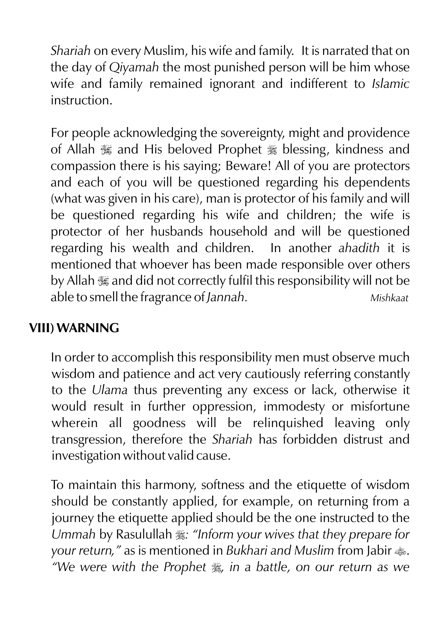*Shariah* on every Muslim, his wife and family. It is narrated that on the day of *Qiyamah* the most punished person will be him whose wife and family remained ignorant and indifferent to *Islamic* instruction.

For people acknowledging the sovereignty, might and providence of Allah  $\mathcal{H}$  and His beloved Prophet  $\mathcal{H}$  blessing, kindness and compassion there is his saying; Beware! All of you are protectors and each of you will be questioned regarding his dependents (what was given in his care), man is protector of his family and will be questioned regarding his wife and children; the wife is protector of her husbands household and will be questioned regarding his wealth and children. In another *ahadith* it is mentioned that whoever has been made responsible over others by Allah  $\frac{1}{26}$  and did not correctly fulfil this responsibility will not be able to smell the fragrance of *Jannah. Mishkaat*

#### **VIII) WARNING**

In order to accomplish this responsibility men must observe much wisdom and patience and act very cautiously referring constantly to the *Ulama* thus preventing any excess or lack, otherwise it would result in further oppression, immodesty or misfortune wherein all goodness will be relinquished leaving only transgression, therefore the *Shariah* has forbidden distrust and investigation without valid cause.

To maintain this harmony, softness and the etiquette of wisdom should be constantly applied, for example, on returning from a journey the etiquette applied should be the one instructed to the *Ummah* by Rasulullah  $\frac{1}{2}$ : *"Inform your wives that they prepare for your return,"* as is mentioned in *Bukhari and Muslim* from Jabir  $\clubsuit$ . *"We were with the Prophet*  $\frac{2}{36}$ *, in a battle, on our return as we*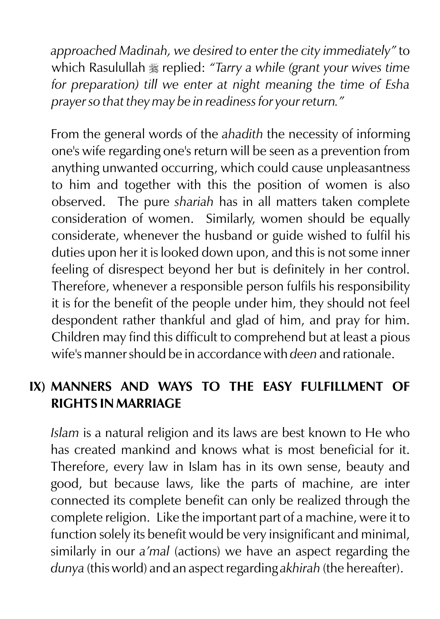*approached Madinah, we desired to enter the city immediately"* to which Rasulullah  $\equiv$  replied: "Tarry a while (grant your wives time *for preparation) till we enter at night meaning the time of Esha prayer so that they may be in readiness for your return."*

From the general words of the *ahadith* the necessity of informing one's wife regarding one's return will be seen as a prevention from anything unwanted occurring, which could cause unpleasantness to him and together with this the position of women is also observed. The pure *shariah* has in all matters taken complete consideration of women. Similarly, women should be equally considerate, whenever the husband or guide wished to fulfil his duties upon her it is looked down upon, and this is not some inner feeling of disrespect beyond her but is definitely in her control. Therefore, whenever a responsible person fulfils his responsibility it is for the benefit of the people under him, they should not feel despondent rather thankful and glad of him, and pray for him. Children may find this difficult to comprehend but at least a pious wife's manner should be in accordance with *deen* and rationale.

#### **IX) MANNERS AND WAYS TO THE EASY FULFILLMENT OF RIGHTS IN MARRIAGE**

*Islam* is a natural religion and its laws are best known to He who has created mankind and knows what is most beneficial for it. Therefore, every law in Islam has in its own sense, beauty and good, but because laws, like the parts of machine, are inter connected its complete benefit can only be realized through the complete religion. Like the important part of a machine, were it to function solely its benefit would be very insignificant and minimal, similarly in our *a'mal* (actions) we have an aspect regarding the *dunya* (this world) and an aspect regarding *akhirah* (the hereafter).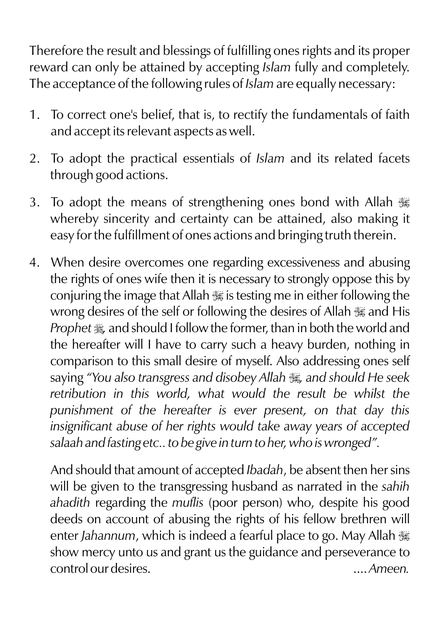Therefore the result and blessings of fulfilling ones rights and its proper reward can only be attained by accepting *Islam* fully and completely. The acceptance of the following rules of *Islam* are equally necessary:

- 1. To correct one's belief, that is, to rectify the fundamentals of faith and accept its relevant aspects as well.
- 2. To adopt the practical essentials of *Islam* and its related facets through good actions.
- 3. To adopt the means of strengthening ones bond with Allah  $\frac{1}{100}$ whereby sincerity and certainty can be attained, also making it easy for the fulfillment of ones actions and bringing truth therein.
- 4. When desire overcomes one regarding excessiveness and abusing the rights of ones wife then it is necessary to strongly oppose this by conjuring the image that Allah  $\frac{1}{2}$  is testing me in either following the wrong desires of the self or following the desires of Allah  $\frac{1}{18}$  and His *Prophet*  $\frac{4}{36}$ , and should I follow the former, than in both the world and the hereafter will I have to carry such a heavy burden, nothing in comparison to this small desire of myself. Also addressing ones self saying *"You also transgress and disobey Allah* I*, and should He seek*  retribution in this world, what would the result be whilst the *punishment of the hereafter is ever present, on that day this insignificant abuse of her rights would take away years of accepted salaah and fasting etc.. to be give in turn to her, who is wronged".*

And should that amount of accepted *Ibadah*, be absent then her sins will be given to the transgressing husband as narrated in the *sahih ahadith* regarding the *muflis* (poor person) who, despite his good deeds on account of abusing the rights of his fellow brethren will enter *Jahannum*, which is indeed a fearful place to go. May Allah  $\ddot{\text{m}}$ show mercy unto us and grant us the guidance and perseverance to control our desires. .... *Ameen.*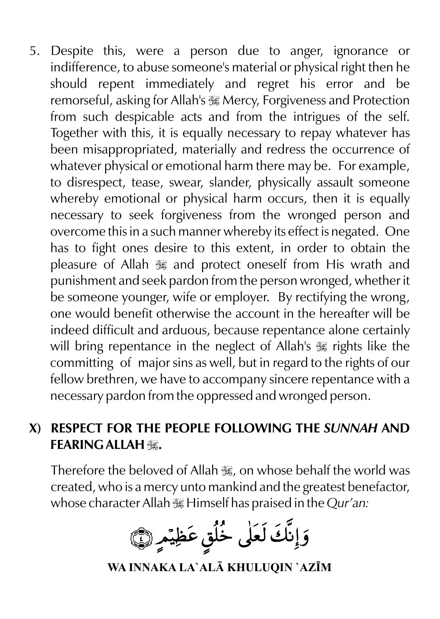5. Despite this, were a person due to anger, ignorance or indifference, to abuse someone's material or physical right then he should repent immediately and regret his error and be remorseful, asking for Allah's  $\frac{100}{100}$  Mercy, Forgiveness and Protection from such despicable acts and from the intrigues of the self. Together with this, it is equally necessary to repay whatever has been misappropriated, materially and redress the occurrence of whatever physical or emotional harm there may be. For example, to disrespect, tease, swear, slander, physically assault someone whereby emotional or physical harm occurs, then it is equally necessary to seek forgiveness from the wronged person and overcome this in a such manner whereby its effect is negated. One has to fight ones desire to this extent, in order to obtain the pleasure of Allah  $\frac{1}{2}$  and protect oneself from His wrath and punishment and seek pardon from the person wronged, whether it be someone younger, wife or employer. By rectifying the wrong, one would benefit otherwise the account in the hereafter will be indeed difficult and arduous, because repentance alone certainly will bring repentance in the neglect of Allah's  $\frac{1}{20}$  rights like the committing of major sins as well, but in regard to the rights of our fellow brethren, we have to accompany sincere repentance with a necessary pardon from the oppressed and wronged person.

#### **X) RESPECT FOR THE PEOPLE FOLLOWING THE** *SUNNAH* **AND FEARING ALLAH** I**.**

Therefore the beloved of Allah . on whose behalf the world was created, who is a mercy unto mankind and the greatest benefactor, whose character Allah **is Himself has praised in the** *Qur'an*:

وَإِنَّكَ لَعَلَى خُلُقٍ عَظِيْمٍ (١٦)

**WA INNAKA LA`AL KHULUQIN `AZM**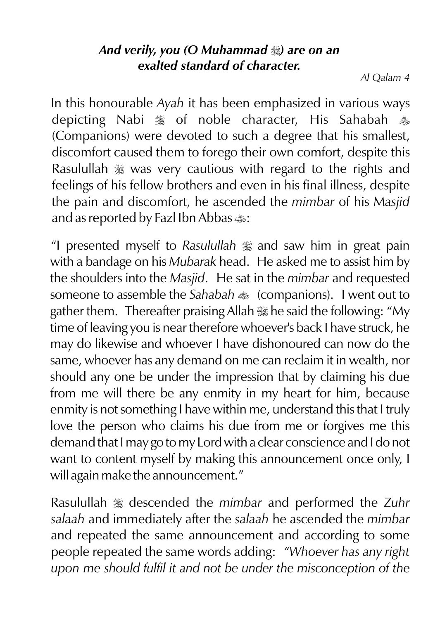#### *And verily, you (O Muhammad*  $\gg$ *) are on an exalted standard of character.*

*Al Qalam 4*

In this honourable *Ayah* it has been emphasized in various ways depicting Nabi  $\frac{4}{36}$  of noble character, His Sahabah  $\frac{4}{36}$ (Companions) were devoted to such a degree that his smallest, discomfort caused them to forego their own comfort, despite this Rasulullah  $*$  was very cautious with regard to the rights and feelings of his fellow brothers and even in his final illness, despite the pain and discomfort, he ascended the *mimbar* of his M*asjid* and as reported by Fazl Ibn Abbas  $\text{L}:$ 

"I presented myself to *Rasulullah*  $\frac{1}{26}$  and saw him in great pain with a bandage on his *Mubarak* head. He asked me to assist him by the shoulders into the *Masjid*. He sat in the *mimbar* and requested someone to assemble the *Sahabah*  $\triangleq$  (companions). I went out to gather them. Thereafter praising Allah  $\frac{1}{100}$  he said the following: "My time of leaving you is near therefore whoever's back I have struck, he may do likewise and whoever I have dishonoured can now do the same, whoever has any demand on me can reclaim it in wealth, nor should any one be under the impression that by claiming his due from me will there be any enmity in my heart for him, because enmity is not something I have within me, understand this that I truly love the person who claims his due from me or forgives me this demand that I may go to my Lord with a clear conscience and I do not want to content myself by making this announcement once only, I will again make the announcement."

Rasulullah  $*$  descended the *mimbar* and performed the *Zuhr salaah* and immediately after the *salaah* he ascended the *mimbar* and repeated the same announcement and according to some people repeated the same words adding: *"Whoever has any right upon me should fulfil it and not be under the misconception of the*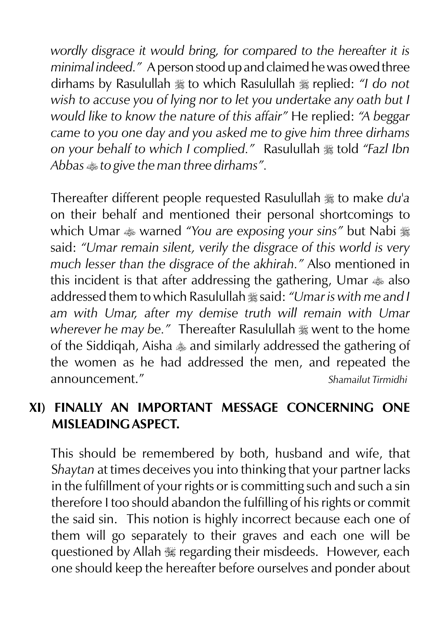*wordly disgrace it would bring, for compared to the hereafter it is minimal indeed."* A person stood up and claimed he was owed three dirhams by Rasulullah  $\frac{4}{36}$  to which Rasulullah  $\frac{4}{36}$  replied: *"I do not wish to accuse you of lying nor to let you undertake any oath but I would like to know the nature of this affair"* He replied: *"A beggar came to you one day and you asked me to give him three dirhams on your behalf to which I complied.*" Rasulullah \*told "Fazl Ibn Abbas  $*$  to give the man three dirhams".

Thereafter different people requested Rasulullah  $\frac{1}{26}$  to make *du'a* on their behalf and mentioned their personal shortcomings to which Umar  $\triangleq$  warned *"You are exposing your sins"* but Nabi  $\triangleq$ said: *"Umar remain silent, verily the disgrace of this world is very much lesser than the disgrace of the akhirah."* Also mentioned in this incident is that after addressing the gathering, Umar  $\triangleq$  also addressed them to which Rasulullah  $\frac{1}{2}$  said: "Umar is with me and I *am with Umar, after my demise truth will remain with Umar wherever he may be.*" Thereafter Rasulullah  $*$  went to the home of the Siddigah, Aisha  $*$  and similarly addressed the gathering of the women as he had addressed the men, and repeated the announcement." *Shamailut Tirmidhi*

#### **XI) FINALLY AN IMPORTANT MESSAGE CONCERNING ONE MISLEADING ASPECT.**

This should be remembered by both, husband and wife, that S*haytan* at times deceives you into thinking that your partner lacks in the fulfillment of your rights or is committing such and such a sin therefore I too should abandon the fulfilling of his rights or commit the said sin. This notion is highly incorrect because each one of them will go separately to their graves and each one will be guestioned by Allah  $\frac{1}{2}$  regarding their misdeeds. However, each one should keep the hereafter before ourselves and ponder about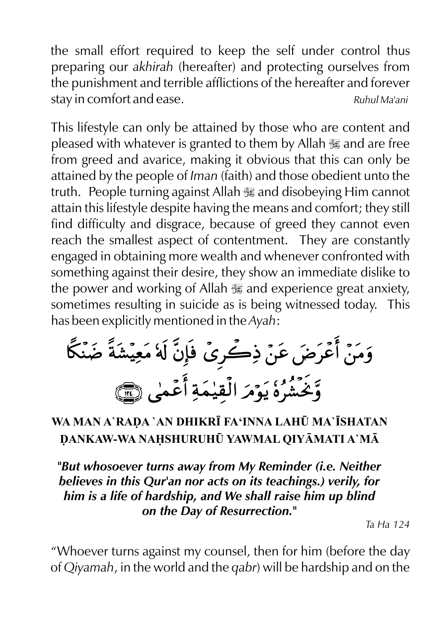the small effort required to keep the self under control thus preparing our *akhirah* (hereafter) and protecting ourselves from the punishment and terrible afflictions of the hereafter and forever stay in comfort and ease. *Ruhul Ma'ani* 

This lifestyle can only be attained by those who are content and pleased with whatever is granted to them by Allah  $\frac{1}{100}$  and are free from greed and avarice, making it obvious that this can only be attained by the people of *Iman* (faith) and those obedient unto the truth. People turning against Allah  $\frac{1}{26}$  and disobeying Him cannot attain this lifestyle despite having the means and comfort; they still find difficulty and disgrace, because of greed they cannot even reach the smallest aspect of contentment. They are constantly engaged in obtaining more wealth and whenever confronted with something against their desire, they show an immediate dislike to the power and working of Allah  $\frac{1}{2}$  and experience great anxiety, sometimes resulting in suicide as is being witnessed today. This has been explicitly mentioned in the *Ayah*:

وَمَنْ أَعْرَضَ عَنْ ذِكْرِيْ فَإِنَّ لَهُ مَعِيْشَةً ضَنْكًا وَّجَشُرُهُ يَوْمَرَ الْقِيْمَةِ أَعْمٰى هِمَّ

### **WA MAN A`RAA `AN DHIKR FA'INNA LAH¤ MA`SHATAN ANKAW-WA NASHURUH¤ YAWMAL QIYMATI A`M**

*"But whosoever turns away from My Reminder (i.e. Neither believes in this Qur'an nor acts on its teachings.) verily, for him is a life of hardship, and We shall raise him up blind on the Day of Resurrection."* 

*Ta Ha 124*

"Whoever turns against my counsel, then for him (before the day of *Qiyamah*, in the world and the *qabr*) will be hardship and on the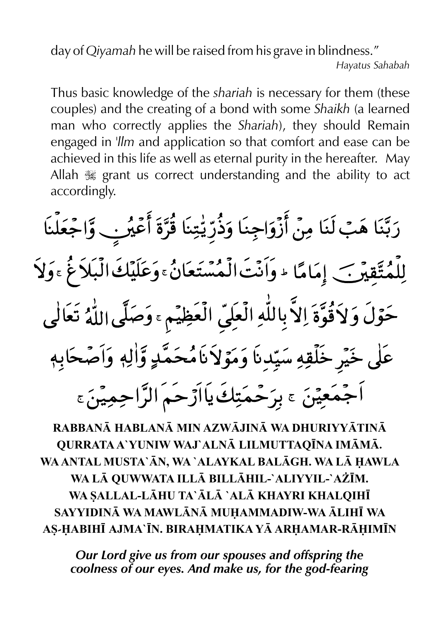day of *Qiyamah* he will be raised from his grave in blindness."

Thus basic knowledge of the *shariah* is necessary for them (these couples) and the creating of a bond with some *Shaikh* (a learned man who correctly applies the *Shariah*), they should Remain engaged in *'llm* and application so that comfort and ease can be achieved in this life as well as eternal purity in the hereafter. May Allah  $\frac{1}{2}$  grant us correct understanding and the ability to act accordingly.

رَبَّنَا هَبْ لَنَا مِنْ أَزْوَاجِنَا وَذُرِّيّٰتِنَا قُرَّةَ أَعْيُرِب وَّاجْعَلْنَا لِلْمُتَّقِيرَ ﴾ إِمَامًا له وَأَنْتَ الْمُسَّتَعَانُ وَعَلَيْكَ الْبَلاَغُ وَوَلاَ حَوْلَ وَلاَقُوَّةَ إِلاَّ بِاللَّهِ الْعَلِيّ الْعَظِيِّمِ ، وَصَلَّى اللَّهُ تَعَالَى عَلَى خَيْرِ خَلْقِهِ سَيِّدِنَا وَمَوَّلاَنَامُحَمَّدٍ وَّالِهٖ وَاَصْحَابِهٖ اَجْمَعِيْنَ ۽ بِرَحْمَتِكَ يااَرْحَمَ الرَّاحِمِيْنَ ۽

**RABBAN HABLAN MIN AZWJIN WA DHURIYYTIN QURRATA A`YUNIW WAJ`ALN LILMUTTAQNA IMM. WA ANTAL MUSTA`N, WA `ALAYKAL BALGH. WA L AWLA WA L QUWWATA ILL BILLHIL-`ALIYYIL-`A¨M. WA SALLAL-LHU TA`L `AL KHAYRI KHALQIH SAYYIDIN WA MAWLN MUAMMADIW-WA LIH WA AS-ABIH AJMA`N. BIRAMATIKA Y ARAMAR-RIMN**

*Our Lord give us from our spouses and offspring the coolness of our eyes. And make us, for the god-fearing*